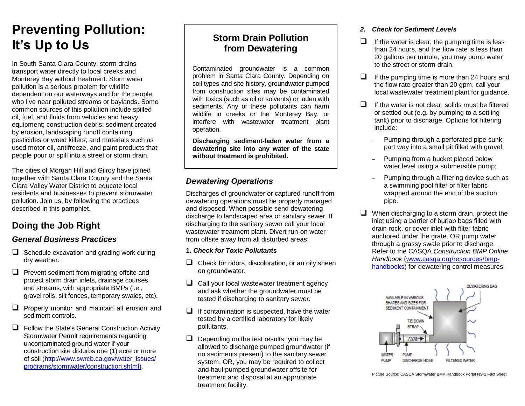## **Preventing Pollution: It's Up to Us**

In South Santa Clara County, storm drains transport water directly to local creeks and Monterey Bay without treatment. Stormwater pollution is a serious problem for wildlife dependent on our waterways and for the people who live near polluted streams or baylands. Some common sources of this pollution include spilled oil, fuel, and fluids from vehicles and heavy equipment; construction debris; sediment created by erosion, landscaping runoff containing pesticides or weed killers; and materials such as used motor oil, antifreeze, and paint products that people pour or spill into a street or storm drain.

The cities of Morgan Hill and Gilroy have joined together with Santa Clara County and the Santa Clara Valley Water District to educate local residents and businesses to prevent stormwater pollution. Join us, by following the practices described in this pamphlet.

## **Doing the Job Right**

#### *General Business Practices*

- $\Box$  Schedule excavation and grading work during dry weather.
- $\Box$  Prevent sediment from migrating offsite and protect storm drain inlets, drainage courses, and streams, with appropriate BMPs (i.e., gravel rolls, silt fences, temporary swales, etc).
- $\Box$  Properly monitor and maintain all erosion and sediment controls.
- $\Box$  Follow the State's General Construction Activity Stormwater Permit requirements regarding uncontaminated ground water if your construction site disturbs one (1) acre or more of soil (http://www.swrcb.ca.gov/water\_issues/ [programs/stormwater/construction.shtml\)](http://www.swrcb.ca.gov/water_issues/%20programs/stormwater/construction.shtml).

### **Storm Drain Pollution from Dewatering**

Contaminated groundwater is a common problem in Santa Clara County. Depending on soil types and site history, groundwater pumped from construction sites may be contaminated with toxics (such as oil or solvents) or laden with sediments. Any of these pollutants can harm wildlife in creeks or the Monterey Bay, or interfere with wastewater treatment plant operation.

**Discharging sediment-laden water from a dewatering site into any water of the state without treatment is prohibited.**

#### *Dewatering Operations*

Discharges of groundwater or captured runoff from dewatering operations must be properly managed and disposed. When possible send dewatering discharge to landscaped area or sanitary sewer. If discharging to the sanitary sewer call your local wastewater treatment plant. Divert run-on water from offsite away from all disturbed areas.

- **1.** *Check for Toxic Pollutants*
- $\Box$  Check for odors, discoloration, or an oily sheen on groundwater.
- $\Box$  Call your local wastewater treatment agency and ask whether the groundwater must be tested if discharging to sanitary sewer.
- $\Box$  If contamination is suspected, have the water tested by a certified laboratory for likely pollutants.
- $\Box$  Depending on the test results, you may be allowed to discharge pumped groundwater (if no sediments present) to the sanitary sewer system. OR, you may be required to collect and haul pumped groundwater offsite for treatment and disposal at an appropriate treatment facility.

#### *2. Check for Sediment Levels*

- $\Box$  If the water is clear, the pumping time is less than 24 hours, and the flow rate is less than 20 gallons per minute, you may pump water to the street or storm drain.
- $\Box$  If the pumping time is more than 24 hours and the flow rate greater than 20 gpm, call your local wastewater treatment plant for guidance.
- $\Box$  If the water is not clear, solids must be filtered or settled out (e.g. by pumping to a settling tank) prior to discharge. Options for filtering include:
	- Pumping through a perforated pipe sunk part way into a small pit filled with gravel;
	- Pumping from a bucket placed below water level using a submersible pump;
	- Pumping through a filtering device such as a swimming pool filter or filter fabric wrapped around the end of the suction pipe.
- $\Box$  When discharging to a storm drain, protect the inlet using a barrier of burlap bags filled with drain rock, or cover inlet with filter fabric anchored under the grate. OR pump water through a grassy swale prior to discharge. Refer to the CASQA *Construction BMP Online Handbook* [\(www.casqa.org/resources/bmp](http://www.casqa.org/resources/bmp-handbooks)[handbooks\)](http://www.casqa.org/resources/bmp-handbooks) for dewatering control measures.



Picture Source: CASQA Stormwater BMP Handbook Portal NS-2 Fact Sheet